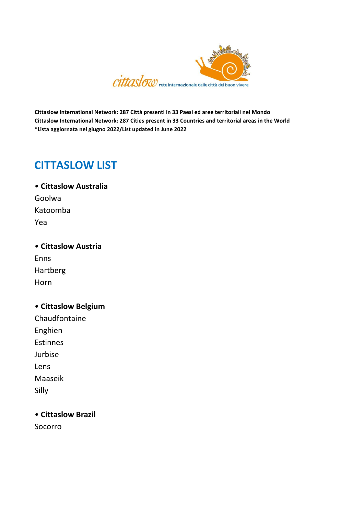

**Cittaslow International Network: 287 Città presenti in 33 Paesi ed aree territoriali nel Mondo Cittaslow International Network: 287 Cities present in 33 Countries and territorial areas in the World \*Lista aggiornata nel giugno 2022/List updated in June 2022**

# **CITTASLOW LIST**

• **Cittaslow Australia**  Goolwa Katoomba Yea

• **Cittaslow Austria**  Enns Hartberg Horn

• **Cittaslow Belgium**  Chaudfontaine Enghien Estinnes Jurbise Lens Maaseik Silly

• **Cittaslow Brazil**

Socorro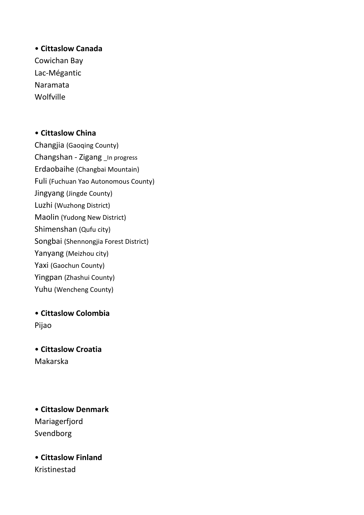## • **Cittaslow Canada** Cowichan Bay

Lac-Mégantic Naramata Wolfville

## • **Cittaslow China**

Changjia (Gaoqing County) Changshan - Zigang \_In progress Erdaobaihe (Changbai Mountain) Fuli (Fuchuan Yao Autonomous County) Jingyang (Jingde County) Luzhi (Wuzhong District) Maolin (Yudong New District) Shimenshan (Qufu city) Songbai (Shennongjia Forest District) Yanyang (Meizhou city) Yaxi (Gaochun County) Yingpan (Zhashui County) Yuhu (Wencheng County)

• **Cittaslow Colombia** Pijao

• **Cittaslow Croatia** Makarska

• **Cittaslow Denmark**  Mariagerfjord Svendborg

• **Cittaslow Finland** Kristinestad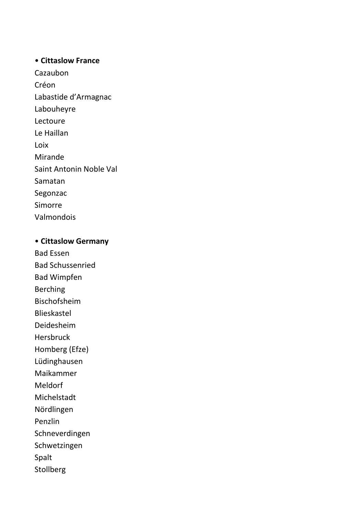#### • **Cittaslow France**

Cazaubon Créon Labastide d'Armagnac Labouheyre Lectoure Le Haillan Loix Mirande Saint Antonin Noble Val Samatan Segonzac Simorre Valmondois

### • **Cittaslow Germany**

Bad Essen Bad Schussenried Bad Wimpfen Berching Bischofsheim Blieskastel Deidesheim Hersbruck Homberg (Efze) Lüdinghausen Maikammer

Meldorf

Michelstadt

Nördlingen

Penzlin

Schneverdingen

Schwetzingen

Spalt

Stollberg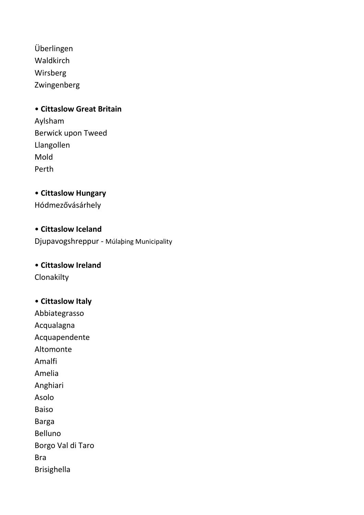Überlingen Waldkirch Wirsberg Zwingenberg

#### • **Cittaslow Great Britain**

Aylsham Berwick upon Tweed Llangollen Mold Perth

• **Cittaslow Hungary** Hódmezővásárhely

• **Cittaslow Iceland** Djupavogshreppur - Múlaþing Municipality

#### • **Cittaslow Ireland**

**Clonakilty** 

## • **Cittaslow Italy**

Abbiategrasso Acqualagna Acquapendente Altomonte Amalfi Amelia Anghiari Asolo Baiso Barga Belluno Borgo Val di Taro Bra Brisighella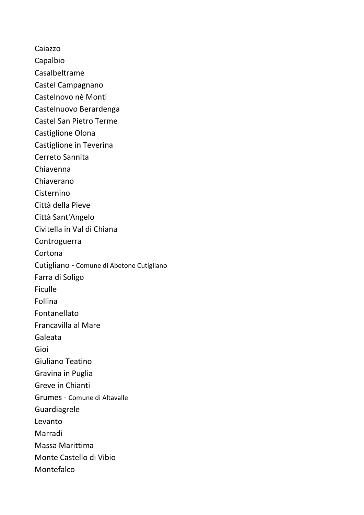Caiazzo Capalbio Casalbeltrame Castel Campagnano Castelnovo nè Monti Castelnuovo Berardenga Castel San Pietro Terme Castiglione Olona Castiglione in Teverina Cerreto Sannita Chiavenna Chiaverano Cisternino Città della Pieve Città Sant'Angelo Civitella in Val di Chiana Controguerra Cortona Cutigliano - Comune di Abetone Cutigliano Farra di Soligo Ficulle Follina Fontanellato Francavilla al Mare Galeata Gioi Giuliano Teatino Gravina in Puglia Greve in Chianti Grumes - Comune di Altavalle Guardiagrele Levanto Marradi Massa Marittima Monte Castello di Vibio Montefalco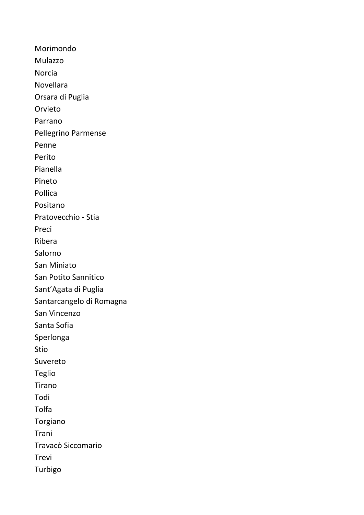Morimondo Mulazzo Norcia Novellara Orsara di Puglia Orvieto Parrano Pellegrino Parmense Penne Perito Pianella Pineto Pollica Positano Pratovecchio - Stia Preci Ribera Salorno San Miniato San Potito Sannitico Sant'Agata di Puglia Santarcangelo di Romagna San Vincenzo Santa Sofia Sperlonga Stio Suvereto Teglio Tirano Todi Tolfa Torgiano Trani Travacò Siccomario Trevi Turbigo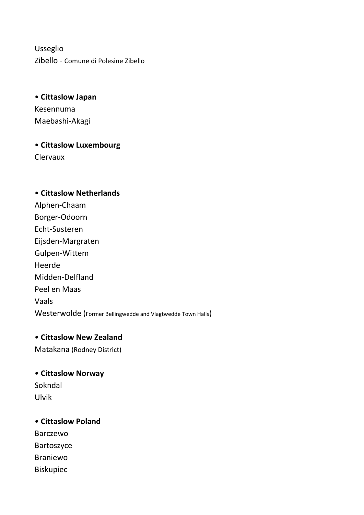Usseglio Zibello - Comune di Polesine Zibello

• **Cittaslow Japan** Kesennuma Maebashi-Akagi

• **Cittaslow Luxembourg** Clervaux

# • **Cittaslow Netherlands** Alphen-Chaam Borger-Odoorn Echt-Susteren Eijsden-Margraten Gulpen-Wittem Heerde Midden-Delfland Peel en Maas Vaals Westerwolde (Former Bellingwedde and Vlagtwedde Town Halls)

## • **Cittaslow New Zealand**

Matakana (Rodney District)

## • **Cittaslow Norway**  Sokndal Ulvik

## • **Cittaslow Poland**  Barczewo Bartoszyce Braniewo Biskupiec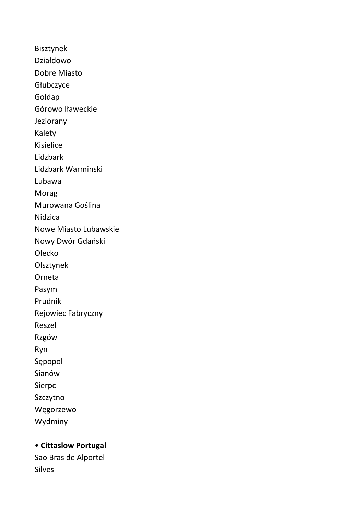Bisztynek Działdowo Dobre Miasto Głubczyce Goldap Górowo Iławeckie Jeziorany Kalety Kisielice Lidzbark Lidzbark Warminski Lubawa Morąg Murowana Goślina Nidzica Nowe Miasto Lubawskie Nowy Dwór Gdański Olecko Olsztynek Orneta Pasym Prudnik Rejowiec Fabryczny Reszel Rzgów Ryn Sępopol Sianów Sierpc Szczytno Węgorzewo Wydminy

## • **Cittaslow Portugal**

Sao Bras de Alportel Silves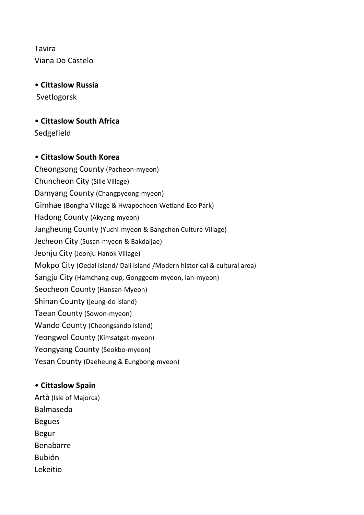Tavira Viana Do Castelo

• **Cittaslow Russia** Svetlogorsk

• **Cittaslow South Africa** Sedgefield

## • **Cittaslow South Korea**

Cheongsong County (Pacheon-myeon) Chuncheon City (Sille Village) Damyang County (Changpyeong-myeon) Gimhae (Bongha Village & Hwapocheon Wetland Eco Park) Hadong County (Akyang-myeon) Jangheung County (Yuchi-myeon & Bangchon Culture Village) Jecheon City (Susan-myeon & Bakdaljae) Jeonju City (Jeonju Hanok Village) Mokpo City (Oedal Island/ Dali Island /Modern historical & cultural area) Sangju City (Hamchang-eup, Gonggeom-myeon, Ian-myeon) Seocheon County (Hansan-Myeon) Shinan County (jeung-do island) Taean County (Sowon-myeon) Wando County (Cheongsando Island) Yeongwol County (Kimsatgat-myeon) Yeongyang County (Seokbo-myeon) Yesan County (Daeheung & Eungbong-myeon)

#### • **Cittaslow Spain**

Artà (Isle of Majorca) Balmaseda Begues Begur Benabarre Bubión Lekeitio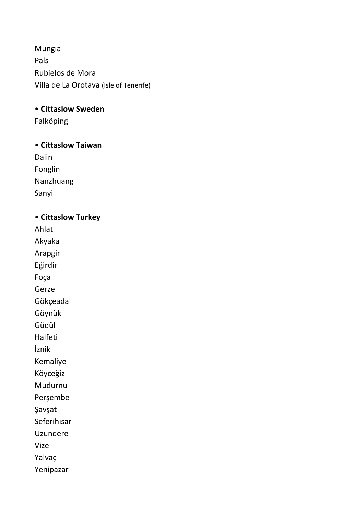Mungia Pals Rubielos de Mora Villa de La Orotava (Isle of Tenerife)

• **Cittaslow Sweden** 

Falköping

• **Cittaslow Taiwan**

Dalin Fonglin Nanzhuang Sanyi

• **Cittaslow Turkey** Ahlat Akyaka Arapgir Eğirdir Foça Gerze Gökçeada Göynük Güdül Halfeti İznik Kemaliye Köyceğiz Mudurnu

Perşembe

Şavşat

Seferihisar

Uzundere

Vize

Yalvaç

Yenipazar